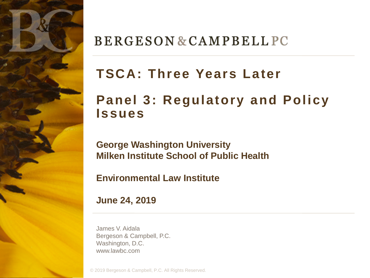

#### **BERGESON & CAMPBELL PC**

### **TSCA: Three Years Later**

#### **Panel 3: Regulatory and Policy Issues**

**George Washington University Milken Institute School of Public Health** 

**Environmental Law Institute**

**June 24, 2019**

James V. Aidala Bergeson & Campbell, P.C. Washington, D.C. www.lawbc.com

© 2019 Bergeson & Campbell, P.C. All Rights Reserved.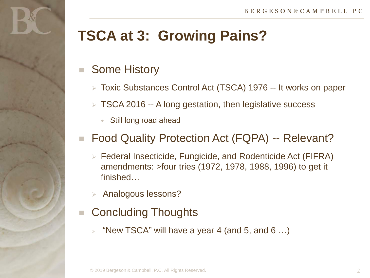### **TSCA at 3: Growing Pains?**

#### Some History

- Toxic Substances Control Act (TSCA) 1976 -- It works on paper
- $\triangleright$  TSCA 2016 -- A long gestation, then legislative success
	- Still long road ahead

#### Food Quality Protection Act (FQPA) -- Relevant?

- Federal Insecticide, Fungicide, and Rodenticide Act (FIFRA) amendments: >four tries (1972, 1978, 1988, 1996) to get it finished…
- Analogous lessons?
- Concluding Thoughts
	- $\triangleright$  "New TSCA" will have a year 4 (and 5, and 6 ...)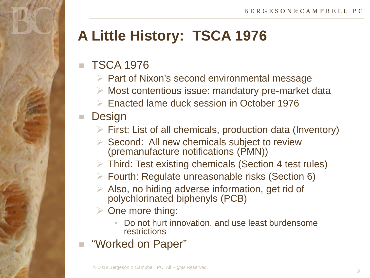## **A Little History: TSCA 1976**

#### TSCA 1976

- $\triangleright$  Part of Nixon's second environmental message
- $\triangleright$  Most contentious issue: mandatory pre-market data
- Enacted lame duck session in October 1976

#### ■ Design

- $\triangleright$  First: List of all chemicals, production data (Inventory)
- $\triangleright$  Second: All new chemicals subject to review (premanufacture notifications (PMN))
- Third: Test existing chemicals (Section 4 test rules)
- Fourth: Regulate unreasonable risks (Section 6)
- $\triangleright$  Also, no hiding adverse information, get rid of polychlorinated biphenyls (PCB)
- $\triangleright$  One more thing:
	- Do not hurt innovation, and use least burdensome restrictions
- "Worked on Paper"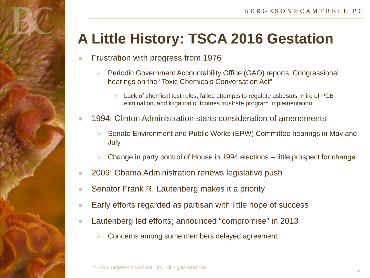# **A Little History: TSCA 2016 Gestation**

- Frustration with progress from 1976
	- ▶ Periodic Government Accountability Office (GAO) reports, Congressional hearings on the "Toxic Chemicals Conversation Act"
		- Lack of chemical test rules, failed attempts to regulate asbestos, mire of PCB elimination, and litigation outcomes frustrate program implementation
- 1994: Clinton Administration starts consideration of amendments
	- Senate Environment and Public Works (EPW) Committee hearings in May and July
	- Change in party control of House in 1994 elections -- little prospect for change
- 2009: Obama Administration renews legislative push
- Senator Frank R. Lautenberg makes it a priority
- Early efforts regarded as partisan with little hope of success
- Lautenberg led efforts; announced "compromise" in 2013
	- Concerns among some members delayed agreement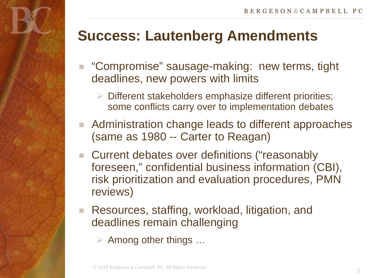### **Success: Lautenberg Amendments**

- "Compromise" sausage-making: new terms, tight deadlines, new powers with limits
	- $\triangleright$  Different stakeholders emphasize different priorities; some conflicts carry over to implementation debates
- Administration change leads to different approaches (same as 1980 -- Carter to Reagan)
- Current debates over definitions ("reasonably foreseen," confidential business information (CBI), risk prioritization and evaluation procedures, PMN reviews)
- Resources, staffing, workload, litigation, and deadlines remain challenging
	- $\triangleright$  Among other things ...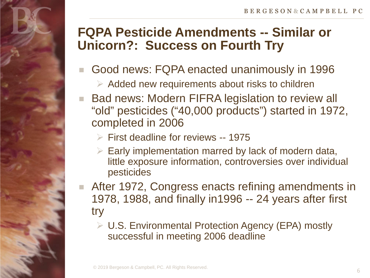#### **FQPA Pesticide Amendments -- Similar or Unicorn?: Success on Fourth Try**

- Good news: FQPA enacted unanimously in 1996
	- $\triangleright$  Added new requirements about risks to children
- Bad news: Modern FIFRA legislation to review all "old" pesticides ("40,000 products") started in 1972, completed in 2006
	- $\triangleright$  First deadline for reviews -- 1975
	- $\triangleright$  Early implementation marred by lack of modern data, little exposure information, controversies over individual pesticides
- After 1972, Congress enacts refining amendments in 1978, 1988, and finally in1996 -- 24 years after first try
	- U.S. Environmental Protection Agency (EPA) mostly successful in meeting 2006 deadline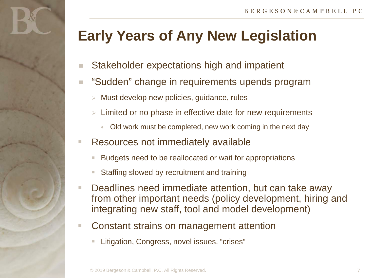## **Early Years of Any New Legislation**

- Stakeholder expectations high and impatient
- "Sudden" change in requirements upends program
	- $\triangleright$  Must develop new policies, guidance, rules
	- $\triangleright$  Limited or no phase in effective date for new requirements
		- Old work must be completed, new work coming in the next day
- Resources not immediately available
	- Budgets need to be reallocated or wait for appropriations
	- Staffing slowed by recruitment and training
- Deadlines need immediate attention, but can take away from other important needs (policy development, hiring and integrating new staff, tool and model development)
- Constant strains on management attention
	- Litigation, Congress, novel issues, "crises"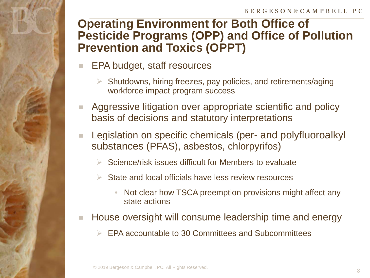#### **Operating Environment for Both Office of Pesticide Programs (OPP) and Office of Pollution Prevention and Toxics (OPPT)**

- EPA budget, staff resources
	- Shutdowns, hiring freezes, pay policies, and retirements/aging workforce impact program success
- **Aggressive litigation over appropriate scientific and policy** basis of decisions and statutory interpretations
- **Legislation on specific chemicals (per- and polyfluoroalkyl** substances (PFAS), asbestos, chlorpyrifos)
	- Science/risk issues difficult for Members to evaluate
	- State and local officials have less review resources
		- Not clear how TSCA preemption provisions might affect any state actions
- House oversight will consume leadership time and energy
	- $\triangleright$  EPA accountable to 30 Committees and Subcommittees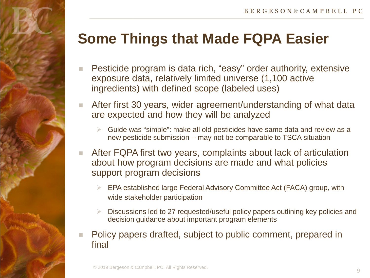## **Some Things that Made FQPA Easier**

- Pesticide program is data rich, "easy" order authority, extensive exposure data, relatively limited universe (1,100 active ingredients) with defined scope (labeled uses)
- After first 30 years, wider agreement/understanding of what data are expected and how they will be analyzed
	- Guide was "simple": make all old pesticides have same data and review as a new pesticide submission -- may not be comparable to TSCA situation
- After FQPA first two years, complaints about lack of articulation about how program decisions are made and what policies support program decisions
	- EPA established large Federal Advisory Committee Act (FACA) group, with wide stakeholder participation
	- Discussions led to 27 requested/useful policy papers outlining key policies and decision guidance about important program elements
- Policy papers drafted, subject to public comment, prepared in final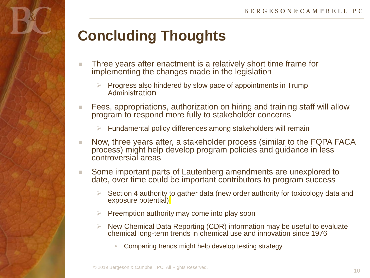# **Concluding Thoughts**

- Three years after enactment is a relatively short time frame for implementing the changes made in the legislation
	- Progress also hindered by slow pace of appointments in Trump Administration
- Fees, appropriations, authorization on hiring and training staff will allow program to respond more fully to stakeholder concerns
	- $\triangleright$  Fundamental policy differences among stakeholders will remain
- Now, three years after, a stakeholder process (similar to the FQPA FACA process) might help develop program policies and guidance in less controversial areas
- Some important parts of Lautenberg amendments are unexplored to date, over time could be important contributors to program success
	- Section 4 authority to gather data (new order authority for toxicology data and exposure potential)
	- Preemption authority may come into play soon
	- $\triangleright$  New Chemical Data Reporting (CDR) information may be useful to evaluate chemical long-term trends in chemical use and innovation since 1976
		- Comparing trends might help develop testing strategy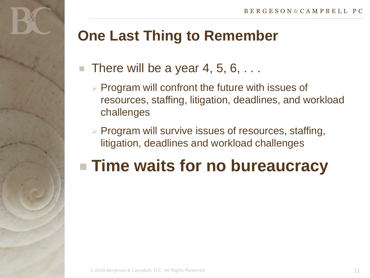### **One Last Thing to Remember**

- There will be a year 4, 5, 6, ...
	- $\triangleright$  Program will confront the future with issues of resources, staffing, litigation, deadlines, and workload challenges
	- $\triangleright$  Program will survive issues of resources, staffing, litigation, deadlines and workload challenges

# **Time waits for no bureaucracy**